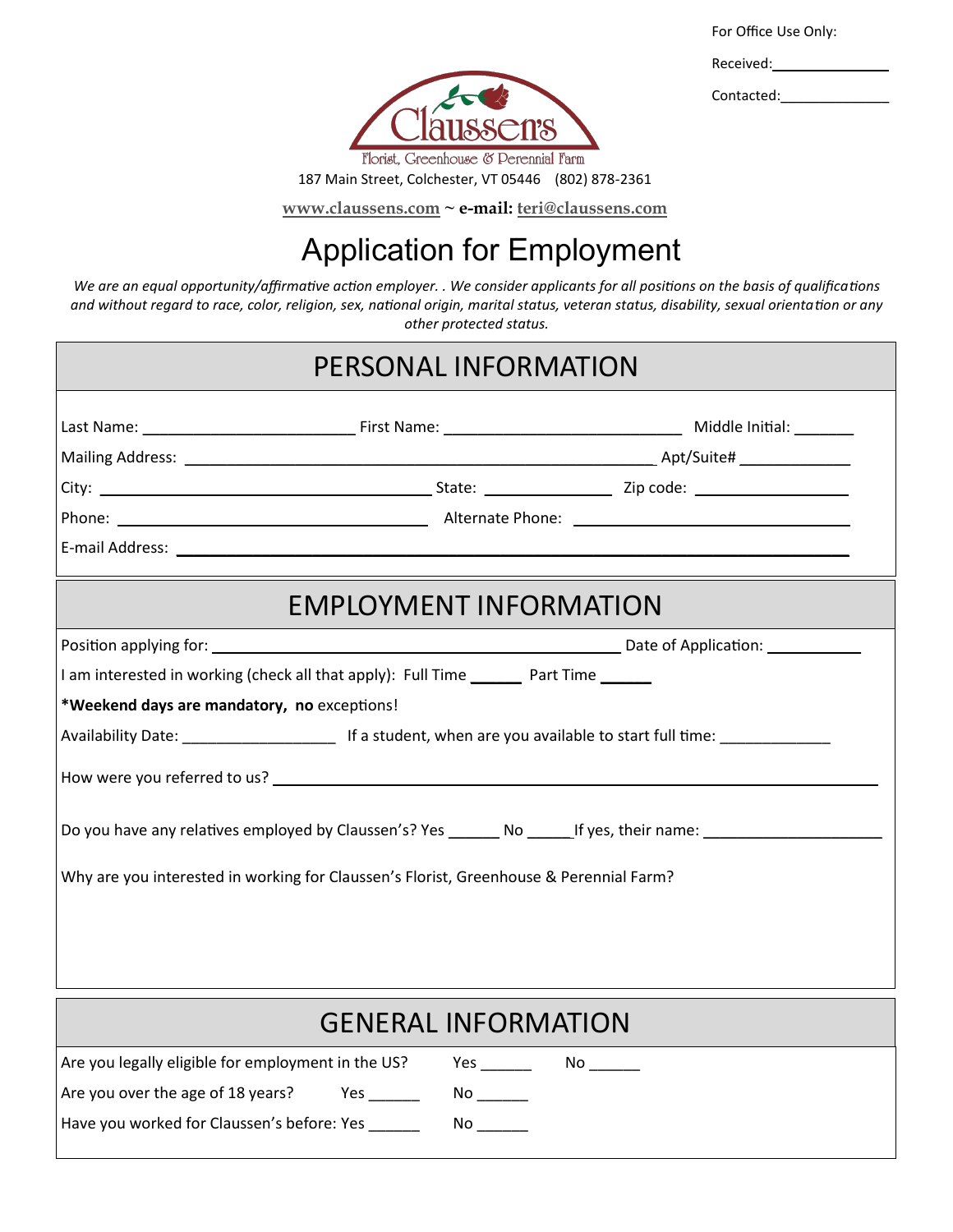For Office Use Only:

Contacted:



187 Main Street, Colchester, VT 05446 (802) 878-2361

**[www.claussens.com](http://www.claussens.com) ~ e-mail: [teri@claussens.com](mailto:ali@claussens.com)**

## Application for Employment

*We are an equal opportunity/affirmative action employer. . We consider applicants for all positions on the basis of qualifications and without regard to race, color, religion, sex, national origin, marital status, veteran status, disability, sexual orientation or any other protected status.*

|                                             | PERSONAL INFORMATION                                                                   |                                                                                                                |
|---------------------------------------------|----------------------------------------------------------------------------------------|----------------------------------------------------------------------------------------------------------------|
|                                             |                                                                                        |                                                                                                                |
|                                             |                                                                                        |                                                                                                                |
|                                             |                                                                                        |                                                                                                                |
|                                             |                                                                                        |                                                                                                                |
|                                             |                                                                                        |                                                                                                                |
|                                             | <b>EMPLOYMENT INFORMATION</b>                                                          |                                                                                                                |
|                                             |                                                                                        |                                                                                                                |
|                                             | I am interested in working (check all that apply): Full Time _______ Part Time ______  |                                                                                                                |
| *Weekend days are mandatory, no exceptions! |                                                                                        |                                                                                                                |
|                                             |                                                                                        |                                                                                                                |
|                                             |                                                                                        |                                                                                                                |
|                                             |                                                                                        | Do you have any relatives employed by Claussen's? Yes _______ No ______If yes, their name: ___________________ |
|                                             | Why are you interested in working for Claussen's Florist, Greenhouse & Perennial Farm? |                                                                                                                |
|                                             |                                                                                        |                                                                                                                |
|                                             |                                                                                        |                                                                                                                |

| <b>GENERAL INFORMATION</b>                         |                                                                                                                                                                                                                                |  |  |  |  |  |
|----------------------------------------------------|--------------------------------------------------------------------------------------------------------------------------------------------------------------------------------------------------------------------------------|--|--|--|--|--|
| Are you legally eligible for employment in the US? | Yes<br>No <u>_________</u>                                                                                                                                                                                                     |  |  |  |  |  |
| Are you over the age of 18 years?                  | No control of the North State of the North State of the North State of the North State of the North State of the North State of the North State of the North State of the North State of the North State of the North State of |  |  |  |  |  |
| Have you worked for Claussen's before: Yes         | No l                                                                                                                                                                                                                           |  |  |  |  |  |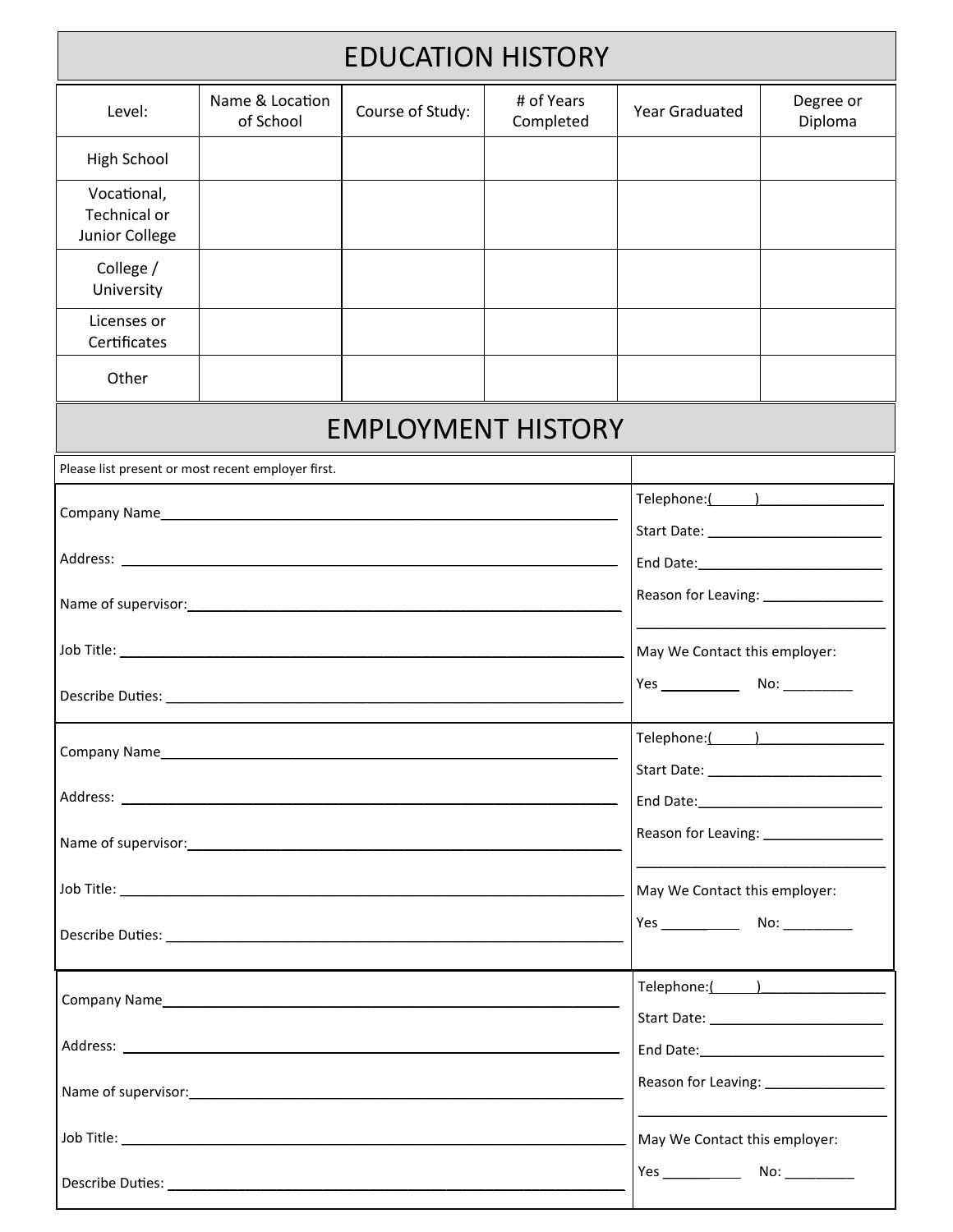| <b>EDUCATION HISTORY</b>                           |                              |                                                                                                                                                                                                                                |                               |                                       |                      |  |  |  |
|----------------------------------------------------|------------------------------|--------------------------------------------------------------------------------------------------------------------------------------------------------------------------------------------------------------------------------|-------------------------------|---------------------------------------|----------------------|--|--|--|
| Level:                                             | Name & Location<br>of School | Course of Study:                                                                                                                                                                                                               | # of Years<br>Completed       | <b>Year Graduated</b>                 | Degree or<br>Diploma |  |  |  |
| <b>High School</b>                                 |                              |                                                                                                                                                                                                                                |                               |                                       |                      |  |  |  |
| Vocational,<br>Technical or<br>Junior College      |                              |                                                                                                                                                                                                                                |                               |                                       |                      |  |  |  |
| College /<br>University                            |                              |                                                                                                                                                                                                                                |                               |                                       |                      |  |  |  |
| Licenses or<br>Certificates                        |                              |                                                                                                                                                                                                                                |                               |                                       |                      |  |  |  |
| Other                                              |                              |                                                                                                                                                                                                                                |                               |                                       |                      |  |  |  |
|                                                    | <b>EMPLOYMENT HISTORY</b>    |                                                                                                                                                                                                                                |                               |                                       |                      |  |  |  |
| Please list present or most recent employer first. |                              |                                                                                                                                                                                                                                |                               |                                       |                      |  |  |  |
|                                                    |                              |                                                                                                                                                                                                                                |                               | Telephone:( )                         |                      |  |  |  |
|                                                    |                              |                                                                                                                                                                                                                                |                               |                                       |                      |  |  |  |
|                                                    |                              |                                                                                                                                                                                                                                |                               |                                       |                      |  |  |  |
|                                                    |                              |                                                                                                                                                                                                                                |                               |                                       |                      |  |  |  |
|                                                    |                              |                                                                                                                                                                                                                                |                               | May We Contact this employer:         |                      |  |  |  |
|                                                    |                              |                                                                                                                                                                                                                                |                               |                                       |                      |  |  |  |
|                                                    |                              |                                                                                                                                                                                                                                |                               | Telephone:( )                         |                      |  |  |  |
|                                                    |                              |                                                                                                                                                                                                                                |                               |                                       |                      |  |  |  |
|                                                    |                              |                                                                                                                                                                                                                                |                               |                                       |                      |  |  |  |
|                                                    |                              | Name of supervisor: Name of supervisor and the supervisor of the supervisor of the supervisor of the supervisor                                                                                                                |                               | Reason for Leaving: _________________ |                      |  |  |  |
|                                                    |                              | Job Title: And The Commission of the Commission of the Commission of the Commission of the Commission of the Commission of the Commission of the Commission of the Commission of the Commission of the Commission of the Commi |                               | May We Contact this employer:         |                      |  |  |  |
|                                                    |                              |                                                                                                                                                                                                                                |                               |                                       |                      |  |  |  |
|                                                    |                              |                                                                                                                                                                                                                                | Telephone:( )                 |                                       |                      |  |  |  |
|                                                    |                              |                                                                                                                                                                                                                                |                               |                                       |                      |  |  |  |
|                                                    |                              |                                                                                                                                                                                                                                |                               |                                       |                      |  |  |  |
|                                                    |                              |                                                                                                                                                                                                                                |                               |                                       |                      |  |  |  |
|                                                    |                              |                                                                                                                                                                                                                                | May We Contact this employer: |                                       |                      |  |  |  |
|                                                    |                              |                                                                                                                                                                                                                                |                               |                                       |                      |  |  |  |